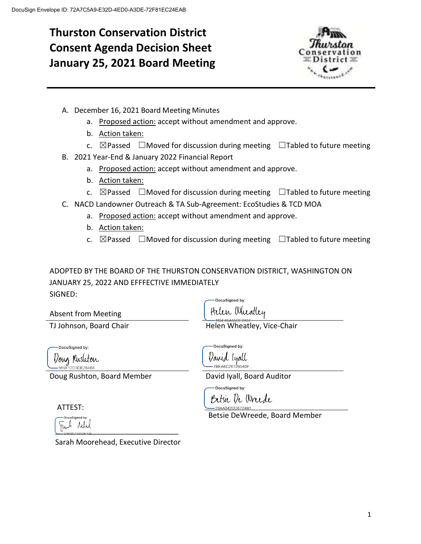# **Thurston Conservation District Consent Agenda Decision Sheet January 25, 2021 Board Meeting**



- A. December 16, 2021 Board Meeting Minutes
	- a. Proposed action: accept without amendment and approve.
	- b. Action taken:
	- c.  $\boxtimes$  Passed  $\Box$  Moved for discussion during meeting  $\Box$  Tabled to future meeting
- B. 2021 Year-End & January 2022 Financial Report
	- a. Proposed action: accept without amendment and approve.
	- b. Action taken:
	- c.  $\boxtimes$  Passed  $\Box$ Moved for discussion during meeting  $\Box$ Tabled to future meeting
- C. NACD Landowner Outreach & TA Sub-Agreement: EcoStudies & TCD MOA
	- a. Proposed action: accept without amendment and approve.
	- b. Action taken:
	- c.  $\Box$ Passed  $\Box$ Moved for discussion during meeting  $\Box$ Tabled to future meeting

ADOPTED BY THE BOARD OF THE THURSTON CONSERVATION DISTRICT, WASHINGTON ON JANUARY 25, 2022 AND EFFFECTIVE IMMEDIATELY SIGNED:

Absent from Meeting

DocuSianed by:

Helen Wheatley

TJ Johnson, Board Chair **Helen Wheatley, Vice-Chair** 

DocuSigned by:

Doug Rusliton 12D3DF284B8

Doug Rushton, Board Member **David Ivall, Board Auditor** 

ATTEST:

**DocuSianed by:**  $\frac{1}{378680710405438...}$ 

Sarah Moorehead, Executive Director

DocuSigned by:

*Va*rid lyall 7REA6C2612R540P

DocuSianed by:

Betsie De Wreede 29AA842DD6724R1

Betsie DeWreede, Board Member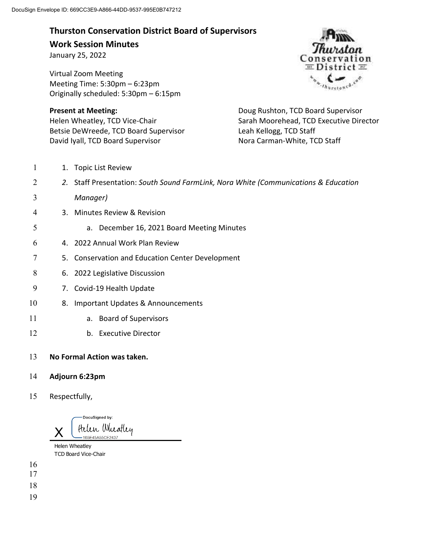# **Thurston Conservation District Board of Supervisors**

# **Work Session Minutes**

January 25, 2022

Virtual Zoom Meeting Meeting Time: 5:30pm – 6:23pm Originally scheduled: 5:30pm – 6:15pm

#### **Present at Meeting:**

Helen Wheatley, TCD Vice-Chair Betsie DeWreede, TCD Board Supervisor David Iyall, TCD Board Supervisor

Conse on

Doug Rushton, TCD Board Supervisor Sarah Moorehead, TCD Executive Director Leah Kellogg, TCD Staff Nora Carman-White, TCD Staff

- 1 1. Topic List Review
- 2 *2.* Staff Presentation: *South Sound FarmLink, Nora White (Communications & Education*
- 3 *Manager)*
- 4 3. Minutes Review & Revision
- 5 a. December 16, 2021 Board Meeting Minutes
- 6 4. 2022 Annual Work Plan Review
- 7 5. Conservation and Education Center Development
- 8 6. 2022 Legislative Discussion
- 9 7. Covid-19 Health Update
- 10 8. Important Updates & Announcements
- 11 a. Board of Supervisors
- 12 b. Executive Director
- 13 **No Formal Action was taken.**
- 14 **Adjourn 6:23pm**
- 15 Respectfully,

DocuSigned by: Helen Wheatley X 165E45A55CE2437

Helen Wheatley TCD Board Vice-Chair

16

- 17
- 18
- 19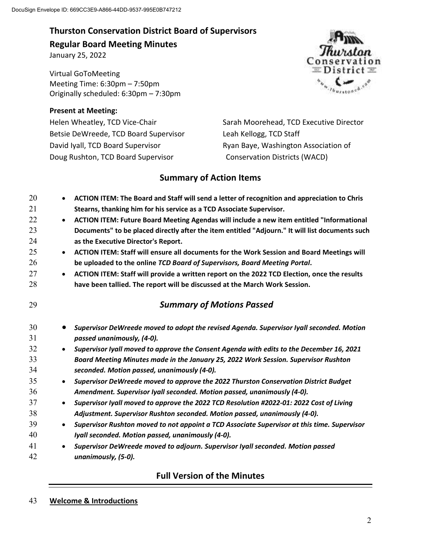# **Thurston Conservation District Board of Supervisors Regular Board Meeting Minutes**

January 25, 2022

Virtual GoToMeeting Meeting Time: 6:30pm – 7:50pm Originally scheduled: 6:30pm – 7:30pm

#### **Present at Meeting:**

Helen Wheatley, TCD Vice-Chair Betsie DeWreede, TCD Board Supervisor David Iyall, TCD Board Supervisor Doug Rushton, TCD Board Supervisor



Sarah Moorehead, TCD Executive Director Leah Kellogg, TCD Staff Ryan Baye, Washington Association of Conservation Districts (WACD)

## **Summary of Action Items**

| 20 | $\bullet$ | ACTION ITEM: The Board and Staff will send a letter of recognition and appreciation to Chris    |
|----|-----------|-------------------------------------------------------------------------------------------------|
| 21 |           | Stearns, thanking him for his service as a TCD Associate Supervisor.                            |
| 22 | $\bullet$ | ACTION ITEM: Future Board Meeting Agendas will include a new item entitled "Informational       |
| 23 |           | Documents" to be placed directly after the item entitled "Adjourn." It will list documents such |
| 24 |           | as the Executive Director's Report.                                                             |
| 25 | $\bullet$ | ACTION ITEM: Staff will ensure all documents for the Work Session and Board Meetings will       |
| 26 |           | be uploaded to the online TCD Board of Supervisors, Board Meeting Portal.                       |
| 27 | $\bullet$ | ACTION ITEM: Staff will provide a written report on the 2022 TCD Election, once the results     |
| 28 |           | have been tallied. The report will be discussed at the March Work Session.                      |
| 29 |           | <b>Summary of Motions Passed</b>                                                                |
| 30 | $\bullet$ | Supervisor DeWreede moved to adopt the revised Agenda. Supervisor Iyall seconded. Motion        |
| 31 |           | passed unanimously, (4-0).                                                                      |
| 32 | $\bullet$ | Supervisor Iyall moved to approve the Consent Agenda with edits to the December 16, 2021        |
| 33 |           | Board Meeting Minutes made in the January 25, 2022 Work Session. Supervisor Rushton             |
| 34 |           | seconded. Motion passed, unanimously (4-0).                                                     |
| 35 | $\bullet$ | Supervisor DeWreede moved to approve the 2022 Thurston Conservation District Budget             |
| 36 |           | Amendment. Supervisor Iyall seconded. Motion passed, unanimously (4-0).                         |
| 37 | $\bullet$ | Supervisor Iyall moved to approve the 2022 TCD Resolution #2022-01: 2022 Cost of Living         |
| 38 |           | Adjustment. Supervisor Rushton seconded. Motion passed, unanimously (4-0).                      |
| 39 | $\bullet$ | Supervisor Rushton moved to not appoint a TCD Associate Supervisor at this time. Supervisor     |
| 40 |           | Iyall seconded. Motion passed, unanimously (4-0).                                               |
| 41 | $\bullet$ | Supervisor DeWreede moved to adjourn. Supervisor Iyall seconded. Motion passed                  |
| 42 |           | unanimously, (5-0).                                                                             |

### **Full Version of the Minutes**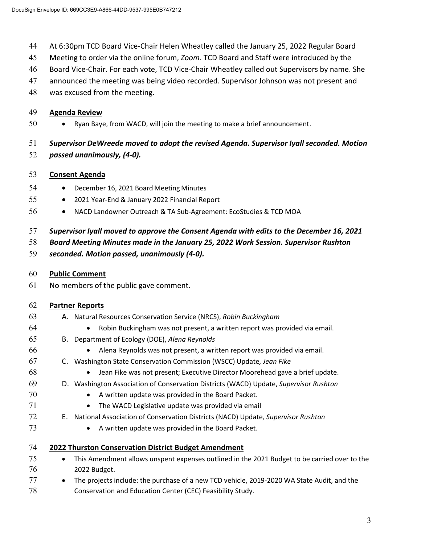- At 6:30pm TCD Board Vice-Chair Helen Wheatley called the January 25, 2022 Regular Board
- Meeting to order via the online forum, *Zoom*. TCD Board and Staff were introduced by the
- Board Vice-Chair. For each vote, TCD Vice-Chair Wheatley called out Supervisors by name. She
- announced the meeting was being video recorded. Supervisor Johnson was not present and
- was excused from the meeting.

#### **Agenda Review**

Ryan Baye, from WACD, will join the meeting to make a brief announcement.

# *Supervisor DeWreede moved to adopt the revised Agenda. Supervisor Iyall seconded. Motion passed unanimously, (4-0).*

#### **Consent Agenda**

- 54 December 16, 2021 Board Meeting Minutes
- **•** 2021 Year-End & January 2022 Financial Report
- NACD Landowner Outreach & TA Sub-Agreement: EcoStudies & TCD MOA

## *Supervisor Iyall moved to approve the Consent Agenda with edits to the December 16, 2021*

- *Board Meeting Minutes made in the January 25, 2022 Work Session. Supervisor Rushton*
- *seconded. Motion passed, unanimously (4-0).*

#### **Public Comment**

No members of the public gave comment.

#### **Partner Reports**

A. Natural Resources Conservation Service (NRCS), *Robin Buckingham* Robin Buckingham was not present, a written report was provided via email. B. Department of Ecology (DOE), *Alena Reynolds* Alena Reynolds was not present, a written report was provided via email. C. Washington State Conservation Commission (WSCC) Update*, Jean Fike* Jean Fike was not present; Executive Director Moorehead gave a brief update. D. Washington Association of Conservation Districts (WACD) Update, *Supervisor Rushton* • A written update was provided in the Board Packet.  $\bullet$  The WACD Legislative update was provided via email E. National Association of Conservation Districts (NACD) Update*, Supervisor Rushton* 73 • A written update was provided in the Board Packet. **2022 Thurston Conservation District Budget Amendment**  75 • This Amendment allows unspent expenses outlined in the 2021 Budget to be carried over to the 2022 Budget. **•** The projects include: the purchase of a new TCD vehicle, 2019-2020 WA State Audit, and the Conservation and Education Center (CEC) Feasibility Study.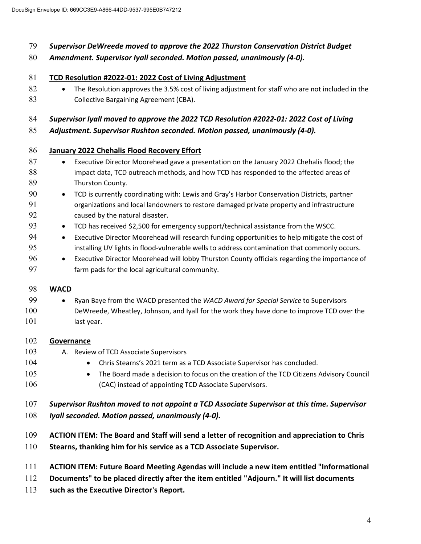#### *Supervisor DeWreede moved to approve the 2022 Thurston Conservation District Budget*

*Amendment. Supervisor Iyall seconded. Motion passed, unanimously (4-0).* 

#### **TCD Resolution #2022-01: 2022 Cost of Living Adjustment**

- **•** The Resolution approves the 3.5% cost of living adjustment for staff who are not included in the 83 Collective Bargaining Agreement (CBA).
- *Supervisor Iyall moved to approve the 2022 TCD Resolution #2022-01: 2022 Cost of Living*
- *Adjustment. Supervisor Rushton seconded. Motion passed, unanimously (4-0).*

### **January 2022 Chehalis Flood Recovery Effort**

- 87 Executive Director Moorehead gave a presentation on the January 2022 Chehalis flood; the impact data, TCD outreach methods, and how TCD has responded to the affected areas of 89 Thurston County.
- 90 TCD is currently coordinating with: Lewis and Gray's Harbor Conservation Districts, partner organizations and local landowners to restore damaged private property and infrastructure caused by the natural disaster.
- 93 TCD has received \$2,500 for emergency support/technical assistance from the WSCC.
- Executive Director Moorehead will research funding opportunities to help mitigate the cost of installing UV lights in flood-vulnerable wells to address contamination that commonly occurs.
- **Executive Director Moorehead will lobby Thurston County officials regarding the importance of** farm pads for the local agricultural community.

#### **WACD**

**•** Ryan Baye from the WACD presented the *WACD Award for Special Service* to Supervisors DeWreede, Wheatley, Johnson, and Iyall for the work they have done to improve TCD over the 101 last year.

#### **Governance**

- A. Review of TCD Associate Supervisors
- **•** Chris Stearns's 2021 term as a TCD Associate Supervisor has concluded.
- 105 The Board made a decision to focus on the creation of the TCD Citizens Advisory Council 106 (CAC) instead of appointing TCD Associate Supervisors.

### *Supervisor Rushton moved to not appoint a TCD Associate Supervisor at this time. Supervisor Iyall seconded. Motion passed, unanimously (4-0).*

- **ACTION ITEM: The Board and Staff will send a letter of recognition and appreciation to Chris**
- **Stearns, thanking him for his service as a TCD Associate Supervisor.**
- **ACTION ITEM: Future Board Meeting Agendas will include a new item entitled "Informational**
- **Documents" to be placed directly after the item entitled "Adjourn." It will list documents**
- **such as the Executive Director's Report.**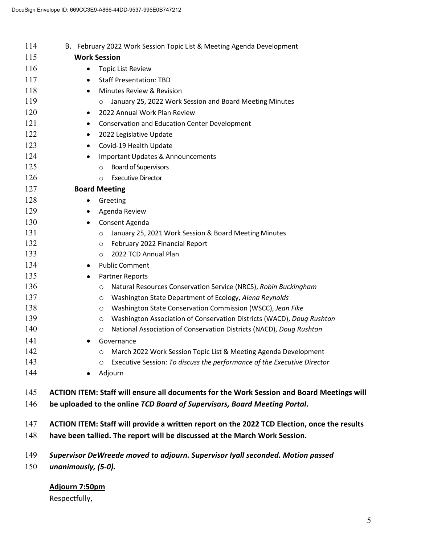| 114 | B. February 2022 Work Session Topic List & Meeting Agenda Development                       |
|-----|---------------------------------------------------------------------------------------------|
| 115 | <b>Work Session</b>                                                                         |
| 116 | <b>Topic List Review</b>                                                                    |
| 117 | <b>Staff Presentation: TBD</b><br>$\bullet$                                                 |
| 118 | Minutes Review & Revision<br>$\bullet$                                                      |
| 119 | January 25, 2022 Work Session and Board Meeting Minutes<br>$\circ$                          |
| 120 | 2022 Annual Work Plan Review<br>٠                                                           |
| 121 | <b>Conservation and Education Center Development</b><br>٠                                   |
| 122 | 2022 Legislative Update<br>٠                                                                |
| 123 | Covid-19 Health Update<br>$\bullet$                                                         |
| 124 | Important Updates & Announcements<br>$\bullet$                                              |
| 125 | <b>Board of Supervisors</b><br>$\circ$                                                      |
| 126 | <b>Executive Director</b><br>$\circ$                                                        |
| 127 | <b>Board Meeting</b>                                                                        |
| 128 | Greeting<br>٠                                                                               |
| 129 | Agenda Review<br>٠                                                                          |
| 130 | Consent Agenda                                                                              |
| 131 | January 25, 2021 Work Session & Board Meeting Minutes<br>O                                  |
| 132 | February 2022 Financial Report<br>$\circ$                                                   |
| 133 | 2022 TCD Annual Plan<br>$\circ$                                                             |
| 134 | <b>Public Comment</b><br>٠                                                                  |
| 135 | <b>Partner Reports</b><br>٠                                                                 |
| 136 | Natural Resources Conservation Service (NRCS), Robin Buckingham<br>O                        |
| 137 | Washington State Department of Ecology, Alena Reynolds<br>O                                 |
| 138 | Washington State Conservation Commission (WSCC), Jean Fike<br>O                             |
| 139 | Washington Association of Conservation Districts (WACD), Doug Rushton<br>O                  |
| 140 | National Association of Conservation Districts (NACD), Doug Rushton<br>O                    |
| 141 | Governance                                                                                  |
| 142 | March 2022 Work Session Topic List & Meeting Agenda Development<br>$\circ$                  |
| 143 | Executive Session: To discuss the performance of the Executive Director<br>O                |
| 144 | Adjourn<br>٠                                                                                |
| 145 | ACTION ITEM: Staff will ensure all documents for the Work Session and Board Meetings will   |
| 146 | be uploaded to the online TCD Board of Supervisors, Board Meeting Portal.                   |
|     |                                                                                             |
| 147 | ACTION ITEM: Staff will provide a written report on the 2022 TCD Election, once the results |
| 148 | have been tallied. The report will be discussed at the March Work Session.                  |
|     |                                                                                             |
| 149 | Supervisor DeWreede moved to adjourn. Supervisor Iyall seconded. Motion passed              |
| 150 | unanimously, (5-0).                                                                         |
|     |                                                                                             |

**Adjourn 7:50pm** Respectfully,